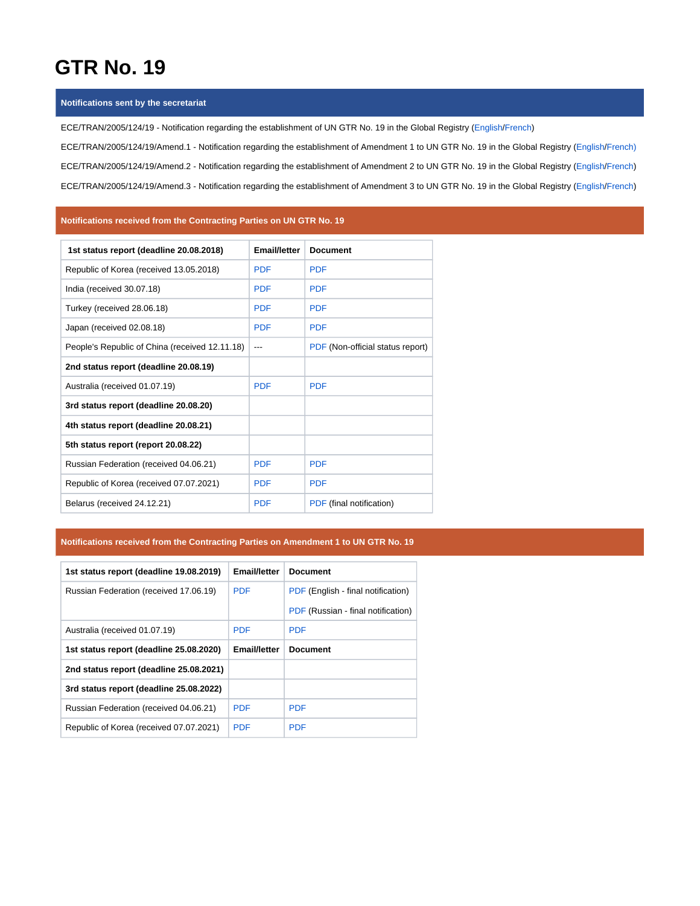# **GTR No. 19**

#### **Notifications sent by the secretariat**

ECE/TRAN/2005/124/19 - Notification regarding the establishment of UN GTR No. 19 in the Global Registry [\(English/](https://wiki.unece.org/download/attachments/60360397/ECE-TRAN-2005-124-19e.pdf?version=1&modificationDate=1523363117708&api=v2)[French](https://wiki.unece.org/download/attachments/60360397/ECE-TRAN-2005-124-19f.pdf?version=1&modificationDate=1523363123391&api=v2)) ECE/TRAN/2005/124/19/Amend.1 - Notification regarding the establishment of Amendment 1 to UN GTR No. 19 in the Global Registry [\(English/](https://wiki.unece.org/download/attachments/60360397/ECE-TRAN-2005-124-19a1e.pdf?version=1&modificationDate=1537867466270&api=v2)[French\)](https://wiki.unece.org/download/attachments/60360397/ECE-TRAN-2005-124-19a1f.pdf?version=1&modificationDate=1537867486772&api=v2) ECE/TRAN/2005/124/19/Amend.2 - Notification regarding the establishment of Amendment 2 to UN GTR No. 19 in the Global Registry [\(English/](https://wiki.unece.org/download/attachments/60360397/ECE-TRAN-2005-124-19a2e.pdf?version=2&modificationDate=1571046609335&api=v2)[French](https://wiki.unece.org/download/attachments/60360397/ECE-TRAN-2005-124-19a2f.pdf?version=2&modificationDate=1571046628407&api=v2)) ECE/TRAN/2005/124/19/Amend.3 - Notification regarding the establishment of Amendment 3 to UN GTR No. 19 in the Global Registry [\(English/](https://wiki.unece.org/download/attachments/60360397/ECE-TRAN-2005-124-19a3e.pdf?version=1&modificationDate=1602834507288&api=v2)[French](https://wiki.unece.org/download/attachments/60360397/ECE-TRAN-2005-124-19a3f.pdf?version=1&modificationDate=1602834522527&api=v2))

#### **Notifications received from the Contracting Parties on UN GTR No. 19**

| 1st status report (deadline 20.08.2018)        | <b>Email/letter</b> | <b>Document</b>                  |
|------------------------------------------------|---------------------|----------------------------------|
| Republic of Korea (received 13.05.2018)        | <b>PDF</b>          | <b>PDF</b>                       |
| India (received 30.07.18)                      | <b>PDF</b>          | <b>PDF</b>                       |
| Turkey (received 28.06.18)                     | <b>PDF</b>          | <b>PDF</b>                       |
| Japan (received 02.08.18)                      | <b>PDF</b>          | <b>PDF</b>                       |
| People's Republic of China (received 12.11.18) | ---                 | PDF (Non-official status report) |
| 2nd status report (deadline 20.08.19)          |                     |                                  |
| Australia (received 01.07.19)                  | <b>PDF</b>          | <b>PDF</b>                       |
| 3rd status report (deadline 20.08.20)          |                     |                                  |
| 4th status report (deadline 20.08.21)          |                     |                                  |
| 5th status report (report 20.08.22)            |                     |                                  |
| Russian Federation (received 04.06.21)         | <b>PDF</b>          | <b>PDF</b>                       |
| Republic of Korea (received 07.07.2021)        | <b>PDF</b>          | <b>PDF</b>                       |
| Belarus (received 24.12.21)                    | <b>PDF</b>          | PDF (final notification)         |

### **Notifications received from the Contracting Parties on Amendment 1 to UN GTR No. 19**

| 1st status report (deadline 19.08.2019) | Email/letter        | <b>Document</b>                    |
|-----------------------------------------|---------------------|------------------------------------|
| Russian Federation (received 17.06.19)  | <b>PDF</b>          | PDF (English - final notification) |
|                                         |                     | PDF (Russian - final notification) |
| Australia (received 01.07.19)           | <b>PDF</b>          | <b>PDF</b>                         |
| 1st status report (deadline 25.08.2020) | <b>Email/letter</b> | <b>Document</b>                    |
| 2nd status report (deadline 25.08.2021) |                     |                                    |
| 3rd status report (deadline 25.08.2022) |                     |                                    |
| Russian Federation (received 04.06.21)  | <b>PDF</b>          | <b>PDF</b>                         |
| Republic of Korea (received 07.07.2021) | <b>PDF</b>          | <b>PDF</b>                         |